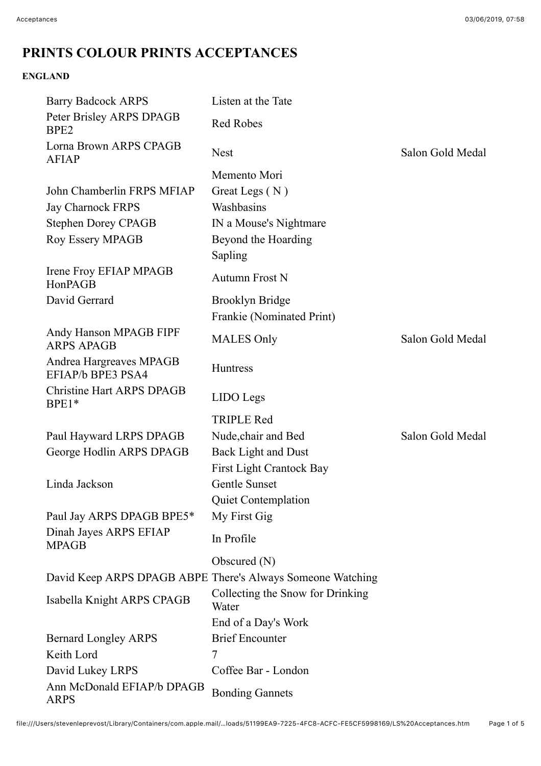# **PRINTS COLOUR PRINTS ACCEPTANCES**

## **ENGLAND**

| <b>Barry Badcock ARPS</b>                    | Listen at the Tate                                         |                  |
|----------------------------------------------|------------------------------------------------------------|------------------|
| Peter Brisley ARPS DPAGB<br>BPE <sub>2</sub> | <b>Red Robes</b>                                           |                  |
| Lorna Brown ARPS CPAGB<br><b>AFIAP</b>       | <b>Nest</b>                                                | Salon Gold Medal |
|                                              | Memento Mori                                               |                  |
| John Chamberlin FRPS MFIAP                   | Great Legs (N)                                             |                  |
| <b>Jay Charnock FRPS</b>                     | Washbasins                                                 |                  |
| <b>Stephen Dorey CPAGB</b>                   | IN a Mouse's Nightmare                                     |                  |
| <b>Roy Essery MPAGB</b>                      | Beyond the Hoarding                                        |                  |
|                                              | Sapling                                                    |                  |
| Irene Froy EFIAP MPAGB<br>HonPAGB            | <b>Autumn Frost N</b>                                      |                  |
| David Gerrard                                | <b>Brooklyn Bridge</b>                                     |                  |
|                                              | Frankie (Nominated Print)                                  |                  |
| Andy Hanson MPAGB FIPF<br><b>ARPS APAGB</b>  | <b>MALES Only</b>                                          | Salon Gold Medal |
| Andrea Hargreaves MPAGB<br>EFIAP/b BPE3 PSA4 | Huntress                                                   |                  |
| <b>Christine Hart ARPS DPAGB</b><br>BPE1*    | LIDO Legs                                                  |                  |
|                                              | <b>TRIPLE Red</b>                                          |                  |
| Paul Hayward LRPS DPAGB                      | Nude, chair and Bed                                        | Salon Gold Medal |
| George Hodlin ARPS DPAGB                     | <b>Back Light and Dust</b>                                 |                  |
|                                              | <b>First Light Crantock Bay</b>                            |                  |
| Linda Jackson                                | Gentle Sunset                                              |                  |
|                                              | <b>Quiet Contemplation</b>                                 |                  |
| Paul Jay ARPS DPAGB BPE5*                    | My First Gig                                               |                  |
| Dinah Jayes ARPS EFIAP<br><b>MPAGB</b>       | In Profile                                                 |                  |
|                                              | Obscured $(N)$                                             |                  |
|                                              | David Keep ARPS DPAGB ABPE There's Always Someone Watching |                  |
| Isabella Knight ARPS CPAGB                   | Collecting the Snow for Drinking<br>Water                  |                  |
|                                              | End of a Day's Work                                        |                  |
| <b>Bernard Longley ARPS</b>                  | <b>Brief Encounter</b>                                     |                  |
| Keith Lord                                   | 7                                                          |                  |
| David Lukey LRPS                             | Coffee Bar - London                                        |                  |
| Ann McDonald EFIAP/b DPAGB<br><b>ARPS</b>    | <b>Bonding Gannets</b>                                     |                  |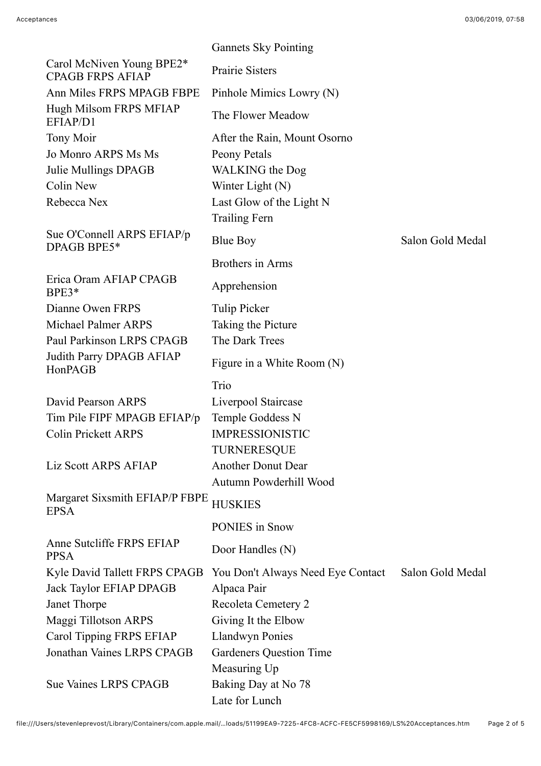|                                                      | <b>Gannets Sky Pointing</b>           |                  |
|------------------------------------------------------|---------------------------------------|------------------|
| Carol McNiven Young BPE2*<br><b>CPAGB FRPS AFIAP</b> | Prairie Sisters                       |                  |
| Ann Miles FRPS MPAGB FBPE                            | Pinhole Mimics Lowry (N)              |                  |
| Hugh Milsom FRPS MFIAP<br>EFIAP/D1                   | The Flower Meadow                     |                  |
| <b>Tony Moir</b>                                     | After the Rain, Mount Osorno          |                  |
| Jo Monro ARPS Ms Ms                                  | Peony Petals                          |                  |
| Julie Mullings DPAGB                                 | <b>WALKING</b> the Dog                |                  |
| Colin New                                            | Winter Light (N)                      |                  |
| Rebecca Nex                                          | Last Glow of the Light N              |                  |
|                                                      | <b>Trailing Fern</b>                  |                  |
| Sue O'Connell ARPS EFIAP/p<br>DPAGB BPE5*            | <b>Blue Boy</b>                       | Salon Gold Medal |
|                                                      | Brothers in Arms                      |                  |
| Erica Oram AFIAP CPAGB<br>$BPE3*$                    | Apprehension                          |                  |
| Dianne Owen FRPS                                     | <b>Tulip Picker</b>                   |                  |
| <b>Michael Palmer ARPS</b>                           | Taking the Picture                    |                  |
| Paul Parkinson LRPS CPAGB                            | The Dark Trees                        |                  |
| Judith Parry DPAGB AFIAP<br>HonPAGB                  | Figure in a White Room (N)            |                  |
|                                                      | Trio                                  |                  |
|                                                      |                                       |                  |
| David Pearson ARPS                                   | Liverpool Staircase                   |                  |
| Tim Pile FIPF MPAGB EFIAP/p                          | Temple Goddess N                      |                  |
| <b>Colin Prickett ARPS</b>                           | <b>IMPRESSIONISTIC</b>                |                  |
|                                                      | TURNERESQUE                           |                  |
| Liz Scott ARPS AFIAP                                 | <b>Another Donut Dear</b>             |                  |
|                                                      | Autumn Powderhill Wood                |                  |
| Margaret Sixsmith EFIAP/P FBPE<br><b>EPSA</b>        | <b>HUSKIES</b>                        |                  |
|                                                      | <b>PONIES</b> in Snow                 |                  |
| Anne Sutcliffe FRPS EFIAP<br><b>PPSA</b>             | Door Handles (N)                      |                  |
| Kyle David Tallett FRPS CPAGB                        | You Don't Always Need Eye Contact     | Salon Gold Medal |
| <b>Jack Taylor EFIAP DPAGB</b>                       | Alpaca Pair                           |                  |
| Janet Thorpe                                         | Recoleta Cemetery 2                   |                  |
| Maggi Tillotson ARPS                                 | Giving It the Elbow                   |                  |
| Carol Tipping FRPS EFIAP                             | <b>Llandwyn Ponies</b>                |                  |
| Jonathan Vaines LRPS CPAGB                           | Gardeners Question Time               |                  |
|                                                      | Measuring Up                          |                  |
| <b>Sue Vaines LRPS CPAGB</b>                         | Baking Day at No 78<br>Late for Lunch |                  |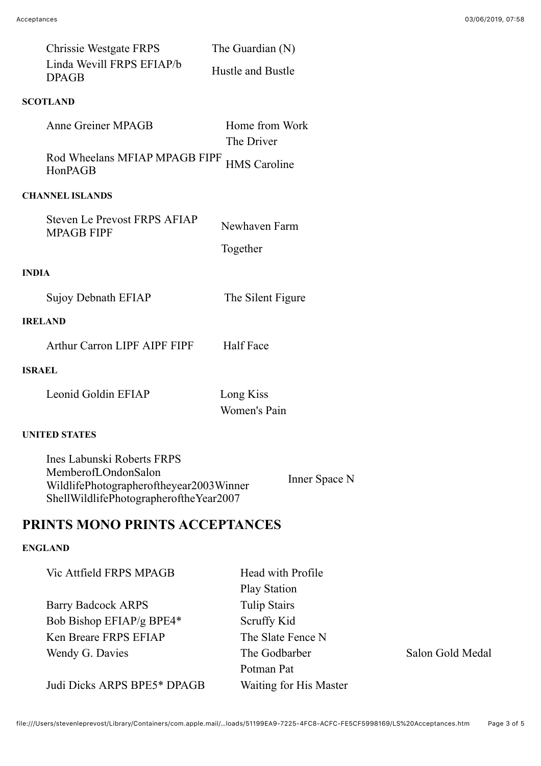| <b>DPAGB</b>           | Chrissie Westgate FRPS<br>Linda Wevill FRPS EFIAP/b      | The Guardian $(N)$<br>Hustle and Bustle |
|------------------------|----------------------------------------------------------|-----------------------------------------|
| <b>SCOTLAND</b>        |                                                          |                                         |
|                        | Anne Greiner MPAGB                                       | Home from Work<br>The Driver            |
| HonPAGB                | Rod Wheelans MFIAP MPAGB FIPF                            | <b>HMS</b> Caroline                     |
| <b>CHANNEL ISLANDS</b> |                                                          |                                         |
|                        | <b>Steven Le Prevost FRPS AFIAP</b><br><b>MPAGB FIPF</b> | Newhaven Farm<br>Together               |
| <b>INDIA</b>           |                                                          |                                         |
|                        | Sujoy Debnath EFIAP                                      | The Silent Figure                       |
| <b>IRELAND</b>         |                                                          |                                         |
|                        | Arthur Carron LIPF AIPF FIPF                             | <b>Half Face</b>                        |
| <b>ISRAEL</b>          |                                                          |                                         |
|                        | Leonid Goldin EFIAP                                      | Long Kiss<br>Women's Pain               |
| <b>UNITED STATES</b>   |                                                          |                                         |
|                        | Ines Labunski Roberts FRPS                               |                                         |

MemberofLOndonSalon WildlifePhotographeroftheyear2003Winner ShellWildlifePhotographeroftheYear2007 Inner Space N

## **PRINTS MONO PRINTS ACCEPTANCES**

## **ENGLAND**

| Vic Attfield FRPS MPAGB     | Head with Profile      |
|-----------------------------|------------------------|
|                             | <b>Play Station</b>    |
| <b>Barry Badcock ARPS</b>   | <b>Tulip Stairs</b>    |
| Bob Bishop EFIAP/g BPE4*    | Scruffy Kid            |
| Ken Breare FRPS EFIAP       | The Slate Fence N      |
| Wendy G. Davies             | The Godbarber          |
|                             | Potman Pat             |
| Judi Dicks ARPS BPE5* DPAGB | Waiting for His Master |

Salon Gold Medal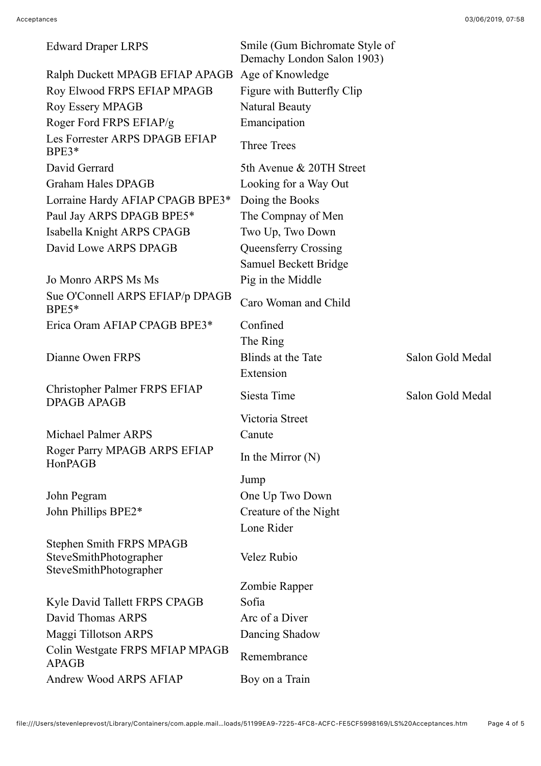| <b>Edward Draper LRPS</b>                                                    | Smile (Gum Bichromate Style of<br>Demachy London Salon 1903) |                  |
|------------------------------------------------------------------------------|--------------------------------------------------------------|------------------|
| Ralph Duckett MPAGB EFIAP APAGB                                              | Age of Knowledge                                             |                  |
| Roy Elwood FRPS EFIAP MPAGB                                                  | Figure with Butterfly Clip                                   |                  |
| <b>Roy Essery MPAGB</b>                                                      | <b>Natural Beauty</b>                                        |                  |
| Roger Ford FRPS EFIAP/g                                                      | Emancipation                                                 |                  |
| Les Forrester ARPS DPAGB EFIAP<br>$BPE3*$                                    | <b>Three Trees</b>                                           |                  |
| David Gerrard                                                                | 5th Avenue & 20TH Street                                     |                  |
| <b>Graham Hales DPAGB</b>                                                    | Looking for a Way Out                                        |                  |
| Lorraine Hardy AFIAP CPAGB BPE3*                                             | Doing the Books                                              |                  |
| Paul Jay ARPS DPAGB BPE5*                                                    | The Compnay of Men                                           |                  |
| Isabella Knight ARPS CPAGB                                                   | Two Up, Two Down                                             |                  |
| David Lowe ARPS DPAGB                                                        | Queensferry Crossing                                         |                  |
|                                                                              | <b>Samuel Beckett Bridge</b>                                 |                  |
| Jo Monro ARPS Ms Ms                                                          | Pig in the Middle                                            |                  |
| Sue O'Connell ARPS EFIAP/p DPAGB<br>$BPE5*$                                  | Caro Woman and Child                                         |                  |
| Erica Oram AFIAP CPAGB BPE3*                                                 | Confined                                                     |                  |
|                                                                              | The Ring                                                     |                  |
| Dianne Owen FRPS                                                             | Blinds at the Tate                                           | Salon Gold Medal |
|                                                                              | Extension                                                    |                  |
| Christopher Palmer FRPS EFIAP<br><b>DPAGB APAGB</b>                          | Siesta Time                                                  | Salon Gold Medal |
|                                                                              | Victoria Street                                              |                  |
| <b>Michael Palmer ARPS</b>                                                   | Canute                                                       |                  |
| Roger Parry MPAGB ARPS EFIAP<br>HonPAGB                                      | In the Mirror $(N)$                                          |                  |
|                                                                              | Jump                                                         |                  |
| John Pegram                                                                  | One Up Two Down                                              |                  |
| John Phillips BPE2*                                                          | Creature of the Night                                        |                  |
|                                                                              | Lone Rider                                                   |                  |
| Stephen Smith FRPS MPAGB<br>SteveSmithPhotographer<br>SteveSmithPhotographer | <b>Velez Rubio</b>                                           |                  |
|                                                                              | Zombie Rapper                                                |                  |
| Kyle David Tallett FRPS CPAGB                                                | Sofia                                                        |                  |
| David Thomas ARPS                                                            | Arc of a Diver                                               |                  |
| Maggi Tillotson ARPS                                                         | Dancing Shadow                                               |                  |
| Colin Westgate FRPS MFIAP MPAGB<br><b>APAGB</b>                              | Remembrance                                                  |                  |
| Andrew Wood ARPS AFIAP                                                       | Boy on a Train                                               |                  |